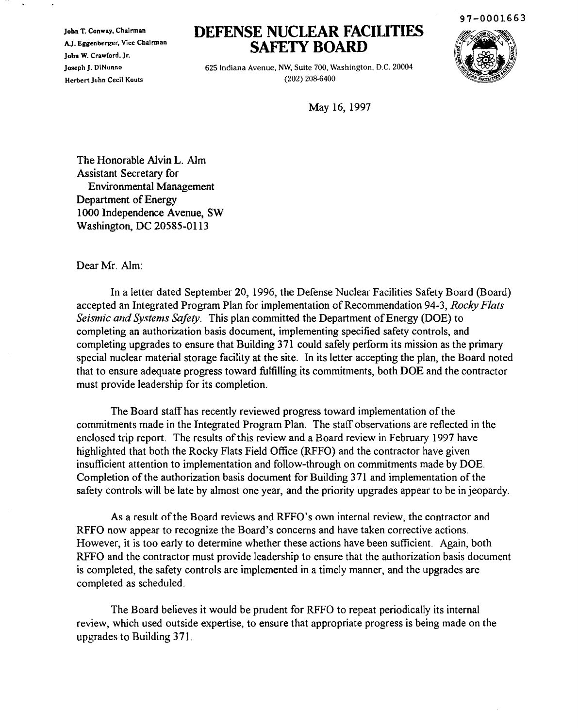John T. Conway, Chairman AJ. Eggenberger, Vice Chairman John W. Crawford, Jr. Joseph J. DiNunno Herbert John Cecil Kouts

# **DEFENSE NUCLEAR FACILITIES SAFETY BOARD**



97-0001663

625 Indiana Avenue, NW, Suite 700, Washington, D.C. 20004 (202) 208·6400

May 16, 1997

The Honorable AIvin L. Aim Assistant Secretary for Environmental Management Department of Energy 1000 Independence Avenue, SW Washington, DC 20585-0113

Dear Mr. Aim:

In a letter dated September 20, 1996, the Defense Nuclear Facilities Safety Board (Board) accepted an Integrated Program Plan for implementation of Recommendation 94-3, *Rocky Flats Seismic and Systems Safety.* This plan committed the Department of Energy (DOE) to completing an authorization basis document, implementing specified safety controls, and completing upgrades to ensure that Building 371 could safely perform its mission as the primary special nuclear material storage facility at the site. In its letter accepting the plan, the Board noted that to ensure adequate progress toward fulfilling its commitments, both DOE and the contractor must provide leadership for its completion.

The Board staff has recently reviewed progress toward implementation of the commitments made in the Integrated Program Plan. The staff observations are reflected in the enclosed trip report. The results of this review and a Board review in February 1997 have highlighted that both the Rocky Flats Field Office (RFFO) and the contractor have given insufficient attention to implementation and follow-through on commitments made by DOE. Completion of the authorization basis document for Building 371 and implementation of the safety controls will be late by almost one year, and the priority upgrades appear to be in jeopardy.

As a result of the Board reviews and RFFO's own internal review, the contractor and RFFO now appear to recognize the Board's concerns and have taken corrective actions. However, it is too early to determine whether these actions have been sufficient. Again, both RFFO and the contractor must provide leadership to ensure that the authorization basis document is completed, the safety controls are implemented in a timely manner, and the upgrades are completed as scheduled.

The Board believes it would be prudent for RFFO to repeat periodically its internal review, which used outside expertise, to ensure that appropriate progress is being made on the upgrades to Building 371.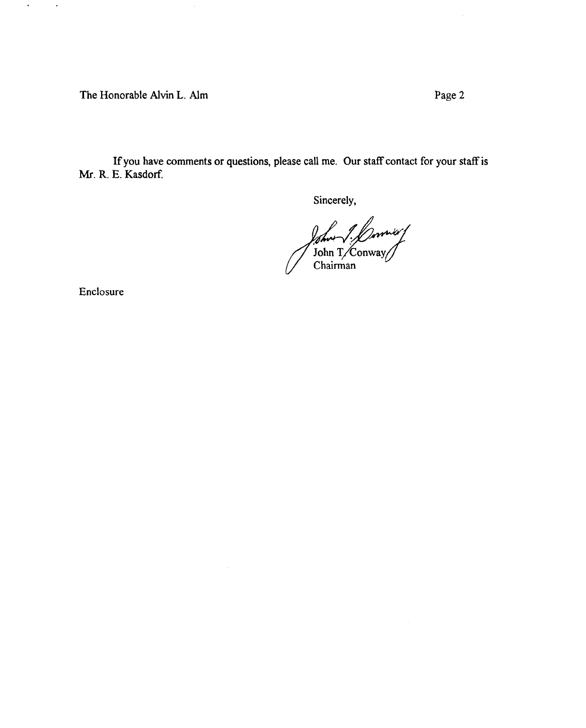The Honorable Alvin L. Alm **Page 2** 

Ifyou have comments or questions, please call me. Our staff contact for your staffis Mr. R. E. Kasdorf.

Sincerely,

*John J. Downloot* 

Enclosure

 $\epsilon$ 

 $\sim 10$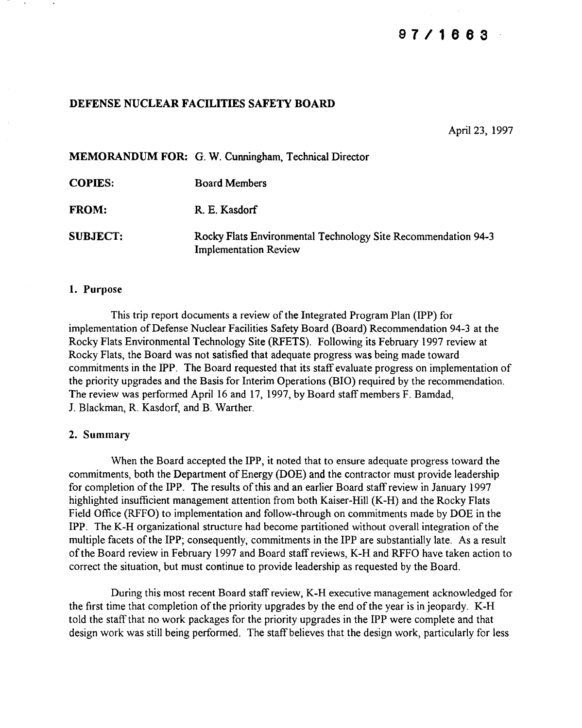# **97/1883**

## DEFENSE NUCLEAR FACILITIES SAFETY BOARD

April 23, 1997

MEMORANDUM FOR: G. W. Cunningham, Technical Director COPIES: FROM: Board Members R. E. Kasdorf

SUBJECT: Rocky Flats Environmental Technology Site Recommendation 94-3 Implementation Review

#### 1. Purpose

This trip report documents a review of the Integrated Program Plan (IPP) for implementation of Defense Nuclear Facilities Safety Board (Board) Recommendation 94-3 at the Rocky Flats Environmental Technology Site (RFETS). Following its February 1997 review at Rocky Flats, the Board was not satisfied that adequate progress was being made toward commitments in the IPP. The Board requested that its staff evaluate progress on implementation of the priority upgrades and the Basis for Interim Operations (BIO) required by the recommendation. The review was performed April 16 and 17, 1997, by Board staff members F. Bamdad, 1. Blackman, R. Kasdorf, and B. Warther.

#### 2. Summary

When the Board accepted the IPP, it noted that to ensure adequate progress toward the commitments, both the Department of Energy (DOE) and the contractor must provide leadership for completion of the IPP. The results of this and an earlier Board staff review in January 1997 highlighted insufficient management attention from both Kaiser-Hill (K-H) and the Rocky Flats Field Office (RFFO) to implementation and follow-through on commitments made by DOE in the IPP. The K-H organizational structure had become partitioned without overall integration of the multiple facets of the IPP; consequently, commitments in the IPP are substantially late. As a result ofthe Board review in February 1997 and Board staffreviews, K-H and RFFO have taken action to correct the situation, but must continue to provide leadership as requested by the Board.

During this most recent Board staffreview, K-H executive management acknowledged for the first time that completion of the priority upgrades by the end of the year is in jeopardy. K-H told the staffthat no work packages for the priority upgrades in the IPP were complete and that design work was still being performed. The staff believes that the design work, particularly for less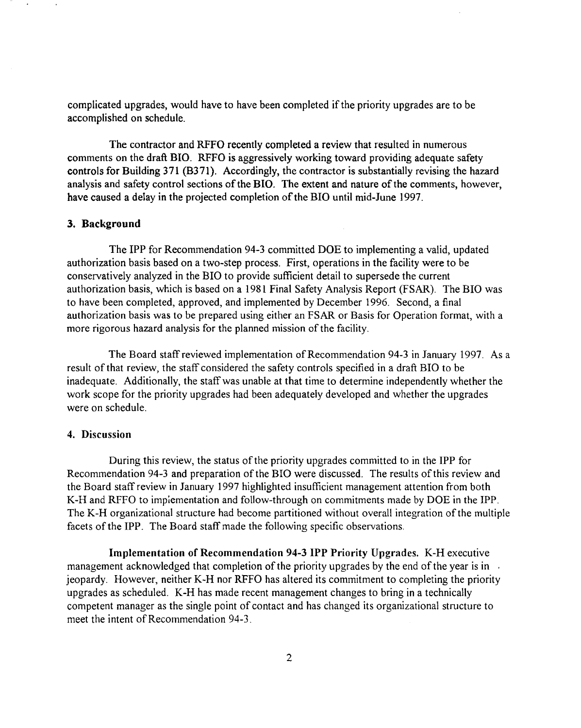complicated upgrades, would have to have been completed if the priority upgrades are to be accomplished on schedule.

The contractor and RFFO recently completed a review that resulted in numerous comments on the draft BID. RFFO is aggressively working toward providing adequate safety controls for Building 371 (B371). Accordingly, the contractor is substantially revising the hazard analysis and safety control sections of the BIO. The extent and nature of the comments, however, have caused a delay in the projected completion of the BIO until mid-June 1997.

## 3. Background

The IPP for Recommendation 94-3 committed DOE to implementing a valid, updated authorization basis based on a two-step process. First, operations in the facility were to be conservatively analyzed in the BIO to provide sufficient detail to supersede the current authorization basis, which is based on a 1981 Final Safety Analysis Report (FSAR). The BIO was to have been completed, approved, and implemented by December 1996. Second, a final authorization basis was to be prepared using either an FSAR or Basis for Operation format, with a more rigorous hazard analysis for the planned mission of the facility.

The Board staff reviewed implementation of Recommendation 94-3 in January 1997. As a result of that review, the staff considered the safety controls specified in a draft BIO to be inadequate. Additionally, the staff was unable at that time to determine independently whether the work scope for the priority upgrades had been adequately developed and whether the upgrades were on schedule.

#### 4. Discussion

During this review, the status of the priority upgrades committed to in the IPP for Recommendation 94-3 and preparation of the BIO were discussed. The results of this review and the Board staff review in January 1997 highlighted insufficient management attention from both K-H and RFFO to implementation and follow-through on commitments made by DOE in the IPP. The K-H organizational structure had become partitioned without overall integration of the multiple facets of the IPP. The Board staff made the following specific observations.

Implementation of Recommendation 94-3 IPP Priority Upgrades. K-H executive management acknowledged that completion of the priority upgrades by the end of the year is in  $\overline{\phantom{a}}$ . jeopardy. However, neither K-H nor RFFO has altered its commitment to completing the priority upgrades as scheduled. K-H has made recent management changes to bring in a technically competent manager as the single point of contact and has changed its organizational structure to meet the intent of Recommendation 94-3.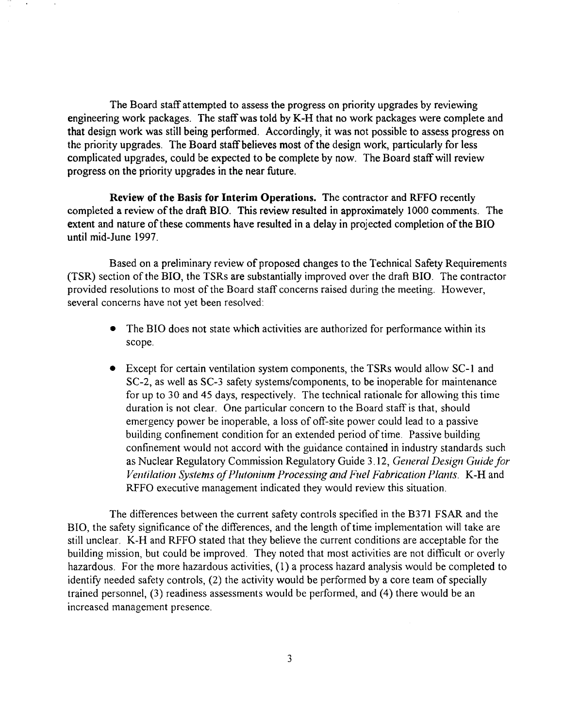The Board staff attempted to assess the progress on priority upgrades by reviewing engineering work packages. The staffwas told by K-H that no work packages were complete and that design work was still being performed. Accordingly, it was not possible to assess progress on the priority upgrades. The Board staff believes most of the design work, particularly for less complicated upgrades, could be expected to be complete by now. The Board staffwill review progress on the priority upgrades in the near future.

Review of the Basis for Interim Operations. The contractor and RFFO recently completed a review of the draft BIO. This review resulted in approximately 1000 comments. The extent and nature of these comments have resulted in a delay in projected completion of the BIO until mid-June 1997.

Based on a preliminary review of proposed changes to the Technical Safety Requirements (TSR) section of the BIO, the TSRs are substantially improved over the draft BIO. The contractor provided resolutions to most of the Board staff concerns raised during the meeting. However, several concerns have not yet been resolved:

- The BIO does not state which activities are authorized for performance within its scope.
- Except for certain ventilation system components, the TSRs would allow SC-l and SC-2, as well as SC-3 safety systems/components, to be inoperable for maintenance for up to 30 and 45 days, respectively. The technical rationale for allowing this time duration is not clear. One particular concern to the Board staff is that, should emergency power be inoperable, a loss of off-site power could lead to a passive building confinement condition for an extended period of time. Passive building confinement would not accord with the guidance contained in industry standards such as Nuclear Regulatory Commission Regulatory Guide 3.12, *General Design Guide for Ventilation Systems of Plutonium Processing and Fuel Fabrication Plants.* K-H and RFFO executive management indicated they would review this situation.

The differences between the current safety controls specified in the B371 FSAR and the BIO, the safety significance of the differences, and the length of time implementation will take are still unclear. K-H and RFFO stated that they believe the current conditions are acceptable for the building mission, but could be improved. They noted that most activities are not difficult or overly hazardous. For the more hazardous activities, (1) a process hazard analysis would be completed to identify needed safety controls,  $(2)$  the activity would be performed by a core team of specially trained personnel, (3) readiness assessments would be performed, and (4) there would be an increased management presence.